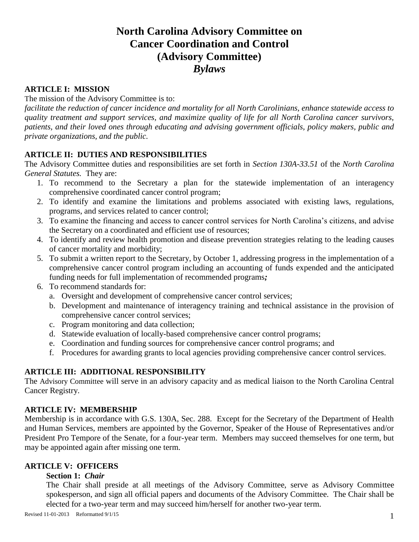# **North Carolina Advisory Committee on Cancer Coordination and Control (Advisory Committee)** *Bylaws*

# **ARTICLE I: MISSION**

# The mission of the Advisory Committee is to:

*facilitate the reduction of cancer incidence and mortality for all North Carolinians, enhance statewide access to quality treatment and support services, and maximize quality of life for all North Carolina cancer survivors, patients, and their loved ones through educating and advising government officials, policy makers, public and private organizations, and the public.*

#### **ARTICLE II: DUTIES AND RESPONSIBILITIES**

The Advisory Committee duties and responsibilities are set forth in *Section 130A-33.51* of the *North Carolina General Statutes.* They are:

- 1. To recommend to the Secretary a plan for the statewide implementation of an interagency comprehensive coordinated cancer control program;
- 2. To identify and examine the limitations and problems associated with existing laws, regulations, programs, and services related to cancer control;
- 3. To examine the financing and access to cancer control services for North Carolina's citizens, and advise the Secretary on a coordinated and efficient use of resources;
- 4. To identify and review health promotion and disease prevention strategies relating to the leading causes of cancer mortality and morbidity;
- 5. To submit a written report to the Secretary, by October 1, addressing progress in the implementation of a comprehensive cancer control program including an accounting of funds expended and the anticipated funding needs for full implementation of recommended programs*;*
- 6. To recommend standards for:
	- a. Oversight and development of comprehensive cancer control services;
	- b. Development and maintenance of interagency training and technical assistance in the provision of comprehensive cancer control services;
	- c. Program monitoring and data collection;
	- d. Statewide evaluation of locally-based comprehensive cancer control programs;
	- e. Coordination and funding sources for comprehensive cancer control programs; and
	- f. Procedures for awarding grants to local agencies providing comprehensive cancer control services.

#### **ARTICLE III: ADDITIONAL RESPONSIBILITY**

The Advisory Committee will serve in an advisory capacity and as medical liaison to the North Carolina Central Cancer Registry.

#### **ARTICLE IV: MEMBERSHIP**

Membership is in accordance with G.S. 130A, Sec. 288. Except for the Secretary of the Department of Health and Human Services, members are appointed by the Governor, Speaker of the House of Representatives and/or President Pro Tempore of the Senate, for a four-year term. Members may succeed themselves for one term, but may be appointed again after missing one term.

# **ARTICLE V: OFFICERS**

#### **Section 1:** *Chair*

The Chair shall preside at all meetings of the Advisory Committee, serve as Advisory Committee spokesperson, and sign all official papers and documents of the Advisory Committee. The Chair shall be elected for a two-year term and may succeed him/herself for another two-year term.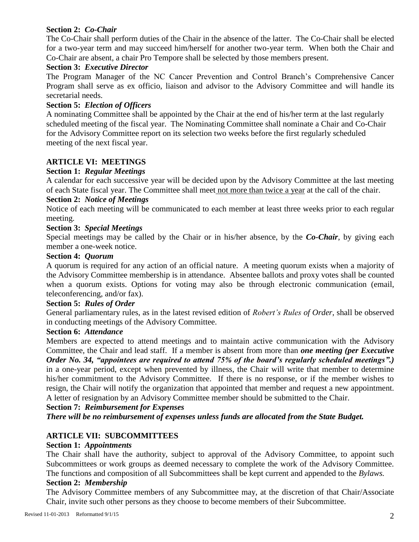# **Section 2:** *Co-Chair*

The Co-Chair shall perform duties of the Chair in the absence of the latter. The Co-Chair shall be elected for a two-year term and may succeed him/herself for another two-year term. When both the Chair and Co-Chair are absent, a chair Pro Tempore shall be selected by those members present.

# **Section 3:** *Executive Director*

The Program Manager of the NC Cancer Prevention and Control Branch's Comprehensive Cancer Program shall serve as ex officio, liaison and advisor to the Advisory Committee and will handle its secretarial needs.

# **Section 5:** *Election of Officers*

A nominating Committee shall be appointed by the Chair at the end of his/her term at the last regularly scheduled meeting of the fiscal year. The Nominating Committee shall nominate a Chair and Co-Chair for the Advisory Committee report on its selection two weeks before the first regularly scheduled meeting of the next fiscal year.

# **ARTICLE VI: MEETINGS**

# **Section 1:** *Regular Meetings*

A calendar for each successive year will be decided upon by the Advisory Committee at the last meeting of each State fiscal year. The Committee shall meet not more than twice a year at the call of the chair.

# **Section 2:** *Notice of Meetings*

Notice of each meeting will be communicated to each member at least three weeks prior to each regular meeting.

# **Section 3:** *Special Meetings*

Special meetings may be called by the Chair or in his/her absence, by the *Co-Chair*, by giving each member a one-week notice.

#### **Section 4:** *Quorum*

A quorum is required for any action of an official nature. A meeting quorum exists when a majority of the Advisory Committee membership is in attendance. Absentee ballots and proxy votes shall be counted when a quorum exists. Options for voting may also be through electronic communication (email, teleconferencing, and/or fax).

#### **Section 5:** *Rules of Order*

General parliamentary rules, as in the latest revised edition of *Robert's Rules of Order*, shall be observed in conducting meetings of the Advisory Committee.

#### **Section 6:** *Attendance*

Members are expected to attend meetings and to maintain active communication with the Advisory Committee, the Chair and lead staff. If a member is absent from more than *one meeting (per Executive Order No. 34, "appointees are required to attend 75% of the board's regularly scheduled meetings".)* in a one-year period, except when prevented by illness, the Chair will write that member to determine his/her commitment to the Advisory Committee. If there is no response, or if the member wishes to resign, the Chair will notify the organization that appointed that member and request a new appointment. A letter of resignation by an Advisory Committee member should be submitted to the Chair.

#### **Section 7:** *Reimbursement for Expenses*

*There will be no reimbursement of expenses unless funds are allocated from the State Budget.* 

# **ARTICLE VII: SUBCOMMITTEES**

#### **Section 1:** *Appointments*

The Chair shall have the authority, subject to approval of the Advisory Committee, to appoint such Subcommittees or work groups as deemed necessary to complete the work of the Advisory Committee. The functions and composition of all Subcommittees shall be kept current and appended to the *Bylaws.*

#### **Section 2:** *Membership*

The Advisory Committee members of any Subcommittee may, at the discretion of that Chair/Associate Chair, invite such other persons as they choose to become members of their Subcommittee.